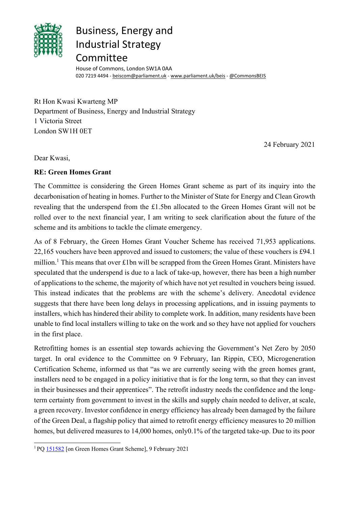

## Business, Energy and Industrial Strategy Committee

House of Commons, London SW1A 0AA 020 7219 4494 - [beiscom@parliament.uk](mailto:beiscom@parliament.uk) - [www.parliament.uk/beis](http://www.parliament.uk/beis) - [@CommonsBEIS](http://www.twitter.com/CommonsBEIS)

Rt Hon Kwasi Kwarteng MP Department of Business, Energy and Industrial Strategy 1 Victoria Street London SW1H 0ET

24 February 2021

Dear Kwasi,

## **RE: Green Homes Grant**

The Committee is considering the Green Homes Grant scheme as part of its inquiry into the decarbonisation of heating in homes. Further to the Minister of State for Energy and Clean Growth revealing that the underspend from the £1.5bn allocated to the Green Homes Grant will not be rolled over to the next financial year, I am writing to seek clarification about the future of the scheme and its ambitions to tackle the climate emergency.

As of 8 February, the Green Homes Grant Voucher Scheme has received 71,953 applications. 22,165 vouchers have been approved and issued to customers; the value of these vouchers is £94.1 million.<sup>1</sup> This means that over £1bn will be scrapped from the Green Homes Grant. Ministers have speculated that the underspend is due to a lack of take-up, however, there has been a high number of applications to the scheme, the majority of which have not yet resulted in vouchers being issued. This instead indicates that the problems are with the scheme's delivery. Anecdotal evidence suggests that there have been long delays in processing applications, and in issuing payments to installers, which has hindered their ability to complete work. In addition, many residents have been unable to find local installers willing to take on the work and so they have not applied for vouchers in the first place.

Retrofitting homes is an essential step towards achieving the Government's Net Zero by 2050 target. In oral evidence to the Committee on 9 February, Ian Rippin, CEO, Microgeneration Certification Scheme, informed us that "as we are currently seeing with the green homes grant, installers need to be engaged in a policy initiative that is for the long term, so that they can invest in their businesses and their apprentices". The retrofit industry needs the confidence and the longterm certainty from government to invest in the skills and supply chain needed to deliver, at scale, a green recovery. Investor confidence in energy efficiency has already been damaged by the failure of the Green Deal, a flagship policy that aimed to retrofit energy efficiency measures to 20 million homes, but delivered measures to 14,000 homes, only0.1% of the targeted take-up. Due to its poor

<span id="page-0-0"></span><sup>1</sup> PQ [151582](https://questions-statements.parliament.uk/written-questions/detail/2021-02-09/151582) [on Green Homes Grant Scheme], 9 February 2021